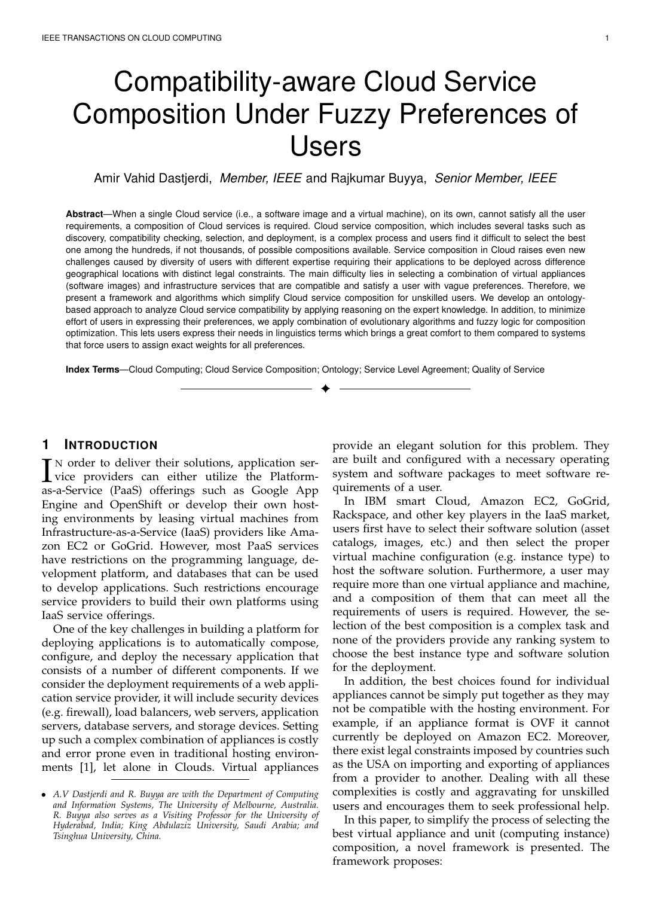# Compatibility-aware Cloud Service Composition Under Fuzzy Preferences of Users

Amir Vahid Dastjerdi, *Member, IEEE* and Rajkumar Buyya, *Senior Member, IEEE*

**Abstract**—When a single Cloud service (i.e., a software image and a virtual machine), on its own, cannot satisfy all the user requirements, a composition of Cloud services is required. Cloud service composition, which includes several tasks such as discovery, compatibility checking, selection, and deployment, is a complex process and users find it difficult to select the best one among the hundreds, if not thousands, of possible compositions available. Service composition in Cloud raises even new challenges caused by diversity of users with different expertise requiring their applications to be deployed across difference geographical locations with distinct legal constraints. The main difficulty lies in selecting a combination of virtual appliances (software images) and infrastructure services that are compatible and satisfy a user with vague preferences. Therefore, we present a framework and algorithms which simplify Cloud service composition for unskilled users. We develop an ontologybased approach to analyze Cloud service compatibility by applying reasoning on the expert knowledge. In addition, to minimize effort of users in expressing their preferences, we apply combination of evolutionary algorithms and fuzzy logic for composition optimization. This lets users express their needs in linguistics terms which brings a great comfort to them compared to systems that force users to assign exact weights for all preferences.

✦

**Index Terms**—Cloud Computing; Cloud Service Composition; Ontology; Service Level Agreement; Quality of Service

# **1 INTRODUCTION**

IN order to deliver their solutions, application service providers can either utilize the Platform-<br>25-2-Service (P22S) offerings such as Google App T N order to deliver their solutions, application seras-a-Service (PaaS) offerings such as Google App Engine and OpenShift or develop their own hosting environments by leasing virtual machines from Infrastructure-as-a-Service (IaaS) providers like Amazon EC2 or GoGrid. However, most PaaS services have restrictions on the programming language, development platform, and databases that can be used to develop applications. Such restrictions encourage service providers to build their own platforms using IaaS service offerings.

One of the key challenges in building a platform for deploying applications is to automatically compose, configure, and deploy the necessary application that consists of a number of different components. If we consider the deployment requirements of a web application service provider, it will include security devices (e.g. firewall), load balancers, web servers, application servers, database servers, and storage devices. Setting up such a complex combination of appliances is costly and error prone even in traditional hosting environments [1], let alone in Clouds. Virtual appliances provide an elegant solution for this problem. They are built and configured with a necessary operating system and software packages to meet software requirements of a user.

In IBM smart Cloud, Amazon EC2, GoGrid, Rackspace, and other key players in the IaaS market, users first have to select their software solution (asset catalogs, images, etc.) and then select the proper virtual machine configuration (e.g. instance type) to host the software solution. Furthermore, a user may require more than one virtual appliance and machine, and a composition of them that can meet all the requirements of users is required. However, the selection of the best composition is a complex task and none of the providers provide any ranking system to choose the best instance type and software solution for the deployment.

In addition, the best choices found for individual appliances cannot be simply put together as they may not be compatible with the hosting environment. For example, if an appliance format is OVF it cannot currently be deployed on Amazon EC2. Moreover, there exist legal constraints imposed by countries such as the USA on importing and exporting of appliances from a provider to another. Dealing with all these complexities is costly and aggravating for unskilled users and encourages them to seek professional help.

In this paper, to simplify the process of selecting the best virtual appliance and unit (computing instance) composition, a novel framework is presented. The framework proposes:

<sup>•</sup> *A.V Dastjerdi and R. Buyya are with the Department of Computing and Information Systems, The University of Melbourne, Australia. R. Buyya also serves as a Visiting Professor for the University of Hyderabad, India; King Abdulaziz University, Saudi Arabia; and Tsinghua University, China.*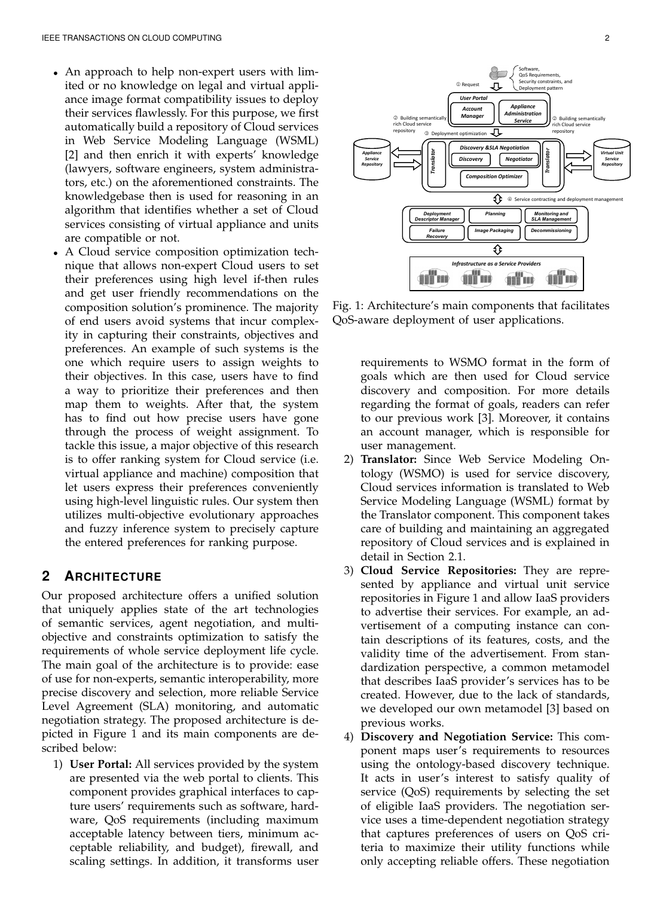- An approach to help non-expert users with limited or no knowledge on legal and virtual appliance image format compatibility issues to deploy their services flawlessly. For this purpose, we first automatically build a repository of Cloud services in Web Service Modeling Language (WSML) [2] and then enrich it with experts' knowledge (lawyers, software engineers, system administrators, etc.) on the aforementioned constraints. The knowledgebase then is used for reasoning in an algorithm that identifies whether a set of Cloud services consisting of virtual appliance and units are compatible or not.
- A Cloud service composition optimization technique that allows non-expert Cloud users to set their preferences using high level if-then rules and get user friendly recommendations on the composition solution's prominence. The majority of end users avoid systems that incur complexity in capturing their constraints, objectives and preferences. An example of such systems is the one which require users to assign weights to their objectives. In this case, users have to find a way to prioritize their preferences and then map them to weights. After that, the system has to find out how precise users have gone through the process of weight assignment. To tackle this issue, a major objective of this research is to offer ranking system for Cloud service (i.e. virtual appliance and machine) composition that let users express their preferences conveniently using high-level linguistic rules. Our system then utilizes multi-objective evolutionary approaches and fuzzy inference system to precisely capture the entered preferences for ranking purpose.

# **2 ARCHITECTURE**

Our proposed architecture offers a unified solution that uniquely applies state of the art technologies of semantic services, agent negotiation, and multiobjective and constraints optimization to satisfy the requirements of whole service deployment life cycle. The main goal of the architecture is to provide: ease of use for non-experts, semantic interoperability, more precise discovery and selection, more reliable Service Level Agreement (SLA) monitoring, and automatic negotiation strategy. The proposed architecture is depicted in Figure 1 and its main components are described below:

1) **User Portal:** All services provided by the system are presented via the web portal to clients. This component provides graphical interfaces to capture users' requirements such as software, hardware, QoS requirements (including maximum acceptable latency between tiers, minimum acceptable reliability, and budget), firewall, and scaling settings. In addition, it transforms user



Fig. 1: Architecture's main components that facilitates QoS-aware deployment of user applications.

requirements to WSMO format in the form of goals which are then used for Cloud service discovery and composition. For more details regarding the format of goals, readers can refer to our previous work [3]. Moreover, it contains an account manager, which is responsible for user management.

- 2) **Translator:** Since Web Service Modeling Ontology (WSMO) is used for service discovery, Cloud services information is translated to Web Service Modeling Language (WSML) format by the Translator component. This component takes care of building and maintaining an aggregated repository of Cloud services and is explained in detail in Section 2.1.
- 3) **Cloud Service Repositories:** They are represented by appliance and virtual unit service repositories in Figure 1 and allow IaaS providers to advertise their services. For example, an advertisement of a computing instance can contain descriptions of its features, costs, and the validity time of the advertisement. From standardization perspective, a common metamodel that describes IaaS provider's services has to be created. However, due to the lack of standards, we developed our own metamodel [3] based on previous works.
- 4) **Discovery and Negotiation Service:** This component maps user's requirements to resources using the ontology-based discovery technique. It acts in user's interest to satisfy quality of service (QoS) requirements by selecting the set of eligible IaaS providers. The negotiation service uses a time-dependent negotiation strategy that captures preferences of users on QoS criteria to maximize their utility functions while only accepting reliable offers. These negotiation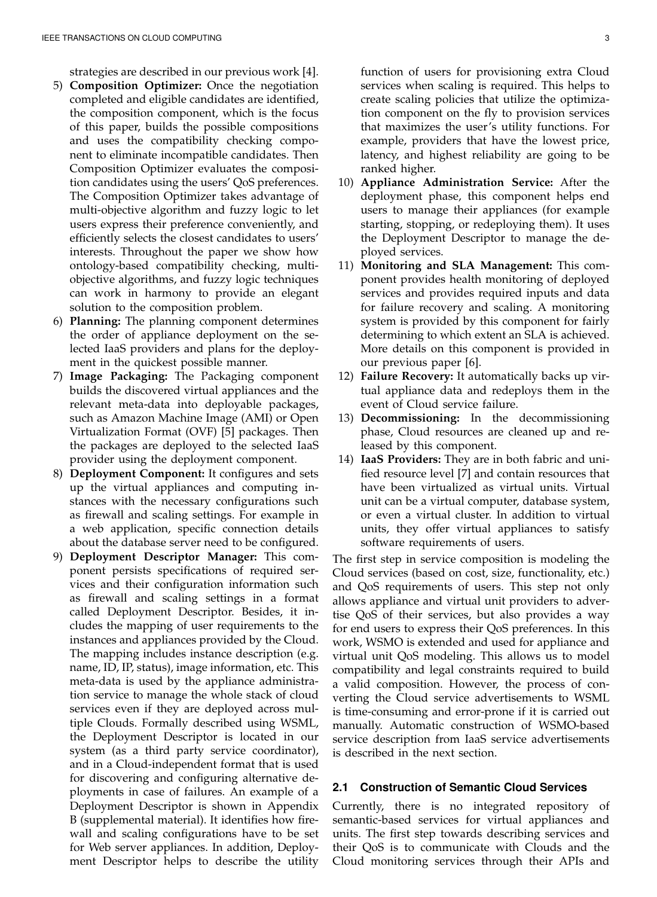- 5) **Composition Optimizer:** Once the negotiation completed and eligible candidates are identified, the composition component, which is the focus of this paper, builds the possible compositions and uses the compatibility checking component to eliminate incompatible candidates. Then Composition Optimizer evaluates the composition candidates using the users' QoS preferences. The Composition Optimizer takes advantage of multi-objective algorithm and fuzzy logic to let users express their preference conveniently, and efficiently selects the closest candidates to users' interests. Throughout the paper we show how ontology-based compatibility checking, multiobjective algorithms, and fuzzy logic techniques can work in harmony to provide an elegant solution to the composition problem.
- 6) **Planning:** The planning component determines the order of appliance deployment on the selected IaaS providers and plans for the deployment in the quickest possible manner.
- 7) **Image Packaging:** The Packaging component builds the discovered virtual appliances and the relevant meta-data into deployable packages, such as Amazon Machine Image (AMI) or Open Virtualization Format (OVF) [5] packages. Then the packages are deployed to the selected IaaS provider using the deployment component.
- 8) **Deployment Component:** It configures and sets up the virtual appliances and computing instances with the necessary configurations such as firewall and scaling settings. For example in a web application, specific connection details about the database server need to be configured.
- 9) **Deployment Descriptor Manager:** This component persists specifications of required services and their configuration information such as firewall and scaling settings in a format called Deployment Descriptor. Besides, it includes the mapping of user requirements to the instances and appliances provided by the Cloud. The mapping includes instance description (e.g. name, ID, IP, status), image information, etc. This meta-data is used by the appliance administration service to manage the whole stack of cloud services even if they are deployed across multiple Clouds. Formally described using WSML, the Deployment Descriptor is located in our system (as a third party service coordinator), and in a Cloud-independent format that is used for discovering and configuring alternative deployments in case of failures. An example of a Deployment Descriptor is shown in Appendix B (supplemental material). It identifies how firewall and scaling configurations have to be set for Web server appliances. In addition, Deployment Descriptor helps to describe the utility

function of users for provisioning extra Cloud services when scaling is required. This helps to create scaling policies that utilize the optimization component on the fly to provision services that maximizes the user's utility functions. For example, providers that have the lowest price, latency, and highest reliability are going to be ranked higher.

- 10) **Appliance Administration Service:** After the deployment phase, this component helps end users to manage their appliances (for example starting, stopping, or redeploying them). It uses the Deployment Descriptor to manage the deployed services.
- 11) **Monitoring and SLA Management:** This component provides health monitoring of deployed services and provides required inputs and data for failure recovery and scaling. A monitoring system is provided by this component for fairly determining to which extent an SLA is achieved. More details on this component is provided in our previous paper [6].
- 12) **Failure Recovery:** It automatically backs up virtual appliance data and redeploys them in the event of Cloud service failure.
- 13) **Decommissioning:** In the decommissioning phase, Cloud resources are cleaned up and released by this component.
- 14) **IaaS Providers:** They are in both fabric and unified resource level [7] and contain resources that have been virtualized as virtual units. Virtual unit can be a virtual computer, database system, or even a virtual cluster. In addition to virtual units, they offer virtual appliances to satisfy software requirements of users.

The first step in service composition is modeling the Cloud services (based on cost, size, functionality, etc.) and QoS requirements of users. This step not only allows appliance and virtual unit providers to advertise QoS of their services, but also provides a way for end users to express their QoS preferences. In this work, WSMO is extended and used for appliance and virtual unit QoS modeling. This allows us to model compatibility and legal constraints required to build a valid composition. However, the process of converting the Cloud service advertisements to WSML is time-consuming and error-prone if it is carried out manually. Automatic construction of WSMO-based service description from IaaS service advertisements is described in the next section.

## **2.1 Construction of Semantic Cloud Services**

Currently, there is no integrated repository of semantic-based services for virtual appliances and units. The first step towards describing services and their QoS is to communicate with Clouds and the Cloud monitoring services through their APIs and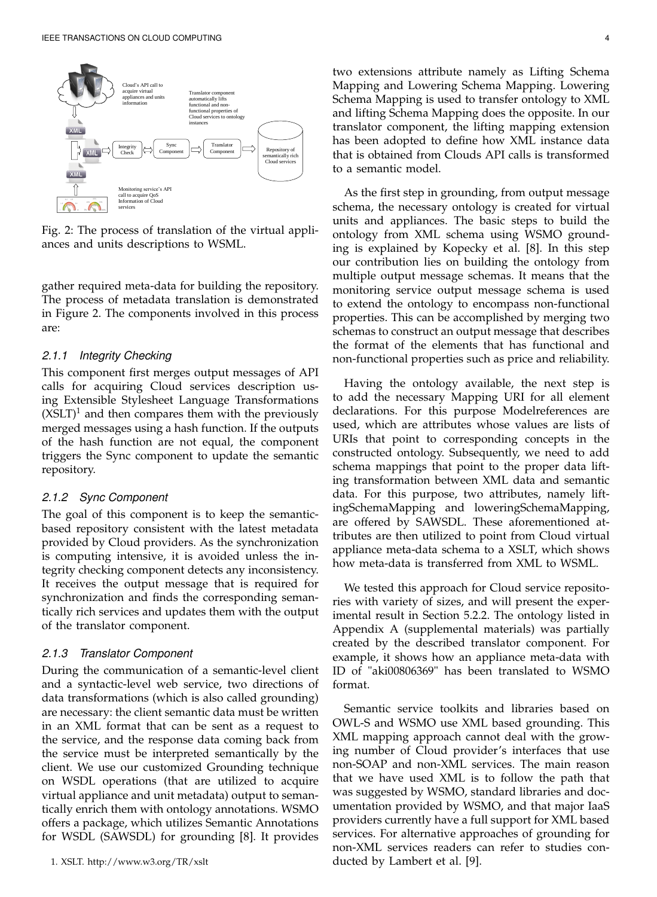

Fig. 2: The process of translation of the virtual appliances and units descriptions to WSML.

gather required meta-data for building the repository. The process of metadata translation is demonstrated in Figure 2. The components involved in this process are:

# *2.1.1 Integrity Checking*

This component first merges output messages of API calls for acquiring Cloud services description using Extensible Stylesheet Language Transformations  $(XSLT)^1$  and then compares them with the previously merged messages using a hash function. If the outputs of the hash function are not equal, the component triggers the Sync component to update the semantic repository.

# *2.1.2 Sync Component*

The goal of this component is to keep the semanticbased repository consistent with the latest metadata provided by Cloud providers. As the synchronization is computing intensive, it is avoided unless the integrity checking component detects any inconsistency. It receives the output message that is required for synchronization and finds the corresponding semantically rich services and updates them with the output of the translator component.

# *2.1.3 Translator Component*

During the communication of a semantic-level client and a syntactic-level web service, two directions of data transformations (which is also called grounding) are necessary: the client semantic data must be written in an XML format that can be sent as a request to the service, and the response data coming back from the service must be interpreted semantically by the client. We use our customized Grounding technique on WSDL operations (that are utilized to acquire virtual appliance and unit metadata) output to semantically enrich them with ontology annotations. WSMO offers a package, which utilizes Semantic Annotations for WSDL (SAWSDL) for grounding [8]. It provides

two extensions attribute namely as Lifting Schema Mapping and Lowering Schema Mapping. Lowering Schema Mapping is used to transfer ontology to XML and lifting Schema Mapping does the opposite. In our translator component, the lifting mapping extension has been adopted to define how XML instance data that is obtained from Clouds API calls is transformed to a semantic model.

As the first step in grounding, from output message schema, the necessary ontology is created for virtual units and appliances. The basic steps to build the ontology from XML schema using WSMO grounding is explained by Kopecky et al. [8]. In this step our contribution lies on building the ontology from multiple output message schemas. It means that the monitoring service output message schema is used to extend the ontology to encompass non-functional properties. This can be accomplished by merging two schemas to construct an output message that describes the format of the elements that has functional and non-functional properties such as price and reliability.

Having the ontology available, the next step is to add the necessary Mapping URI for all element declarations. For this purpose Modelreferences are used, which are attributes whose values are lists of URIs that point to corresponding concepts in the constructed ontology. Subsequently, we need to add schema mappings that point to the proper data lifting transformation between XML data and semantic data. For this purpose, two attributes, namely liftingSchemaMapping and loweringSchemaMapping, are offered by SAWSDL. These aforementioned attributes are then utilized to point from Cloud virtual appliance meta-data schema to a XSLT, which shows how meta-data is transferred from XML to WSML.

We tested this approach for Cloud service repositories with variety of sizes, and will present the experimental result in Section 5.2.2. The ontology listed in Appendix A (supplemental materials) was partially created by the described translator component. For example, it shows how an appliance meta-data with ID of "aki00806369" has been translated to WSMO format.

Semantic service toolkits and libraries based on OWL-S and WSMO use XML based grounding. This XML mapping approach cannot deal with the growing number of Cloud provider's interfaces that use non-SOAP and non-XML services. The main reason that we have used XML is to follow the path that was suggested by WSMO, standard libraries and documentation provided by WSMO, and that major IaaS providers currently have a full support for XML based services. For alternative approaches of grounding for non-XML services readers can refer to studies conducted by Lambert et al. [9].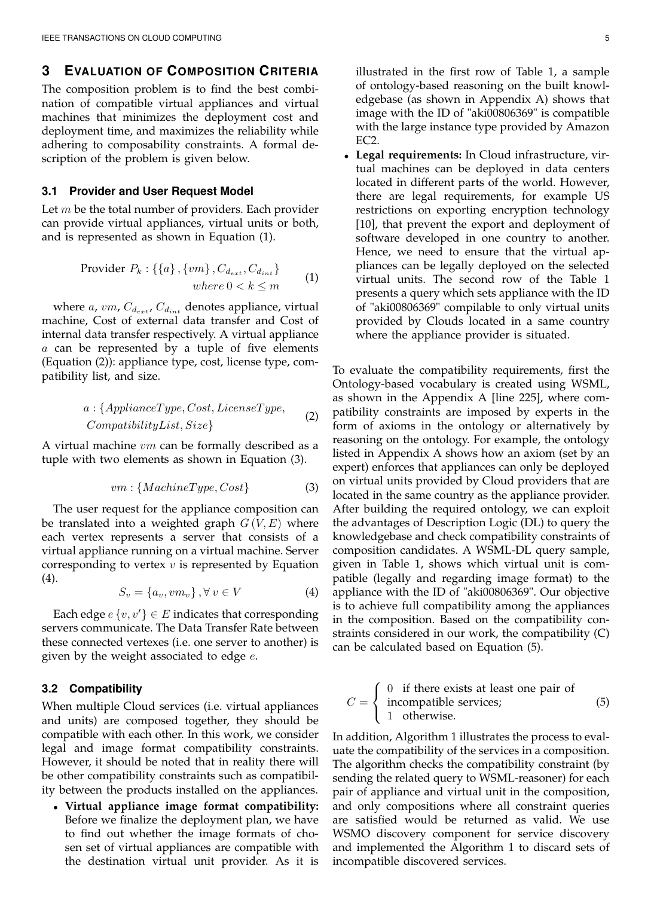## **3 EVALUATION OF COMPOSITION CRITERIA**

The composition problem is to find the best combination of compatible virtual appliances and virtual machines that minimizes the deployment cost and deployment time, and maximizes the reliability while adhering to composability constraints. A formal description of the problem is given below.

## **3.1 Provider and User Request Model**

Let  $m$  be the total number of providers. Each provider can provide virtual appliances, virtual units or both, and is represented as shown in Equation (1).

$$
\begin{aligned} \text{Provider } P_k: \{\{a\}, \{vm\}, C_{d_{ext}}, C_{d_{int}}\} \\ \text{where } 0 < k \le m \end{aligned} \tag{1}
$$

where  $a$ ,  $vm$ ,  $C_{d_{ext}}$ ,  $C_{d_{int}}$  denotes appliance, virtual machine, Cost of external data transfer and Cost of internal data transfer respectively. A virtual appliance a can be represented by a tuple of five elements (Equation (2)): appliance type, cost, license type, compatibility list, and size.

$$
a: {ApplianceType, Cost, LicenseType, ComputibilityList, Size} \qquad (2)
$$

A virtual machine  $vm$  can be formally described as a tuple with two elements as shown in Equation (3).

$$
vm: \{MachineType, Cost\} \tag{3}
$$

The user request for the appliance composition can be translated into a weighted graph  $G(V, E)$  where each vertex represents a server that consists of a virtual appliance running on a virtual machine. Server corresponding to vertex  $v$  is represented by Equation (4).

$$
S_v = \{a_v, v m_v\}, \forall v \in V \tag{4}
$$

Each edge  $e \{v, v'\} \in E$  indicates that corresponding servers communicate. The Data Transfer Rate between these connected vertexes (i.e. one server to another) is given by the weight associated to edge  $e$ .

#### **3.2 Compatibility**

When multiple Cloud services (i.e. virtual appliances and units) are composed together, they should be compatible with each other. In this work, we consider legal and image format compatibility constraints. However, it should be noted that in reality there will be other compatibility constraints such as compatibility between the products installed on the appliances.

• **Virtual appliance image format compatibility:** Before we finalize the deployment plan, we have to find out whether the image formats of chosen set of virtual appliances are compatible with the destination virtual unit provider. As it is

illustrated in the first row of Table 1, a sample of ontology-based reasoning on the built knowledgebase (as shown in Appendix A) shows that image with the ID of "aki00806369" is compatible with the large instance type provided by Amazon EC2.

• **Legal requirements:** In Cloud infrastructure, virtual machines can be deployed in data centers located in different parts of the world. However, there are legal requirements, for example US restrictions on exporting encryption technology [10], that prevent the export and deployment of software developed in one country to another. Hence, we need to ensure that the virtual appliances can be legally deployed on the selected virtual units. The second row of the Table 1 presents a query which sets appliance with the ID of "aki00806369" compilable to only virtual units provided by Clouds located in a same country where the appliance provider is situated.

To evaluate the compatibility requirements, first the Ontology-based vocabulary is created using WSML, as shown in the Appendix A [line 225], where compatibility constraints are imposed by experts in the form of axioms in the ontology or alternatively by reasoning on the ontology. For example, the ontology listed in Appendix A shows how an axiom (set by an expert) enforces that appliances can only be deployed on virtual units provided by Cloud providers that are located in the same country as the appliance provider. After building the required ontology, we can exploit the advantages of Description Logic (DL) to query the knowledgebase and check compatibility constraints of composition candidates. A WSML-DL query sample, given in Table 1, shows which virtual unit is compatible (legally and regarding image format) to the appliance with the ID of "aki00806369". Our objective is to achieve full compatibility among the appliances in the composition. Based on the compatibility constraints considered in our work, the compatibility (C) can be calculated based on Equation (5).

$$
C = \begin{cases} 0 & \text{if there exists at least one pair of} \\ \text{incompatible services;} \\ 1 & \text{otherwise.} \end{cases}
$$
 (5)

In addition, Algorithm 1 illustrates the process to evaluate the compatibility of the services in a composition. The algorithm checks the compatibility constraint (by sending the related query to WSML-reasoner) for each pair of appliance and virtual unit in the composition, and only compositions where all constraint queries are satisfied would be returned as valid. We use WSMO discovery component for service discovery and implemented the Algorithm 1 to discard sets of incompatible discovered services.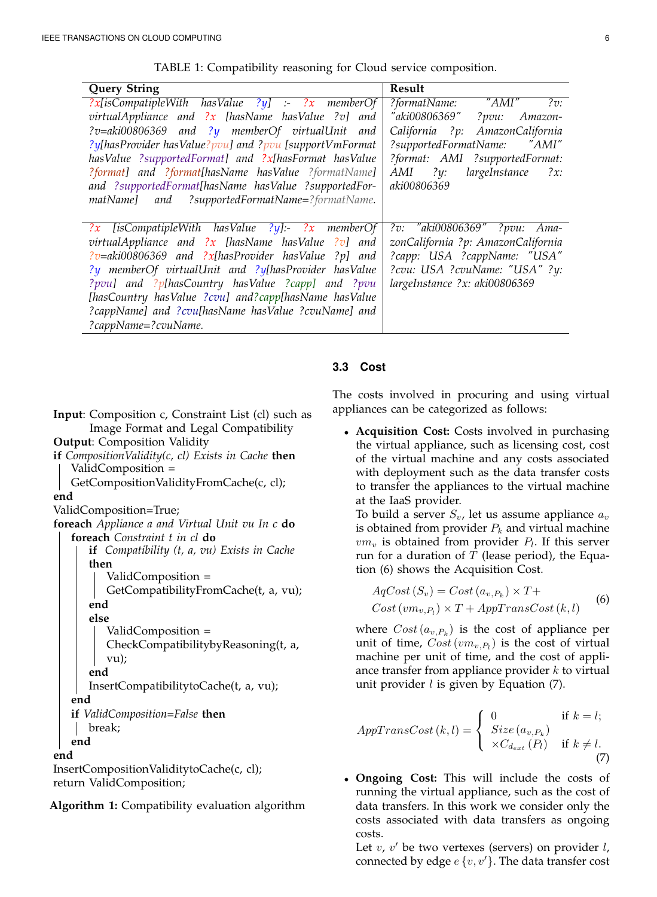TABLE 1: Compatibility reasoning for Cloud service composition.

| <b>Query String</b>                                                 | <b>Result</b>                      |
|---------------------------------------------------------------------|------------------------------------|
| $?x[isCompatipleWith\  \  \, hasValue\  \  \, ?y]$ :- $?x$ memberOf | ?formatName: "AMI"<br>?v:          |
| virtualAppliance and $2x$ [hasName hasValue $2v$ ] and              | "aki00806369" ?pvu:<br>Amazon-     |
| ?v=aki00806369 and ?y memberOf virtualUnit and                      | California ?p:<br>AmazonCalifornia |
| ?y[hasProvider hasValue?pvu] and ?pvu [supportVmFormat]             | ?supportedFormatName: "AMI"        |
| hasValue ?supportedFormat] and ?x[hasFormat hasValue                | ?format: AMI ?supportedFormat:     |
| ?format] and ?format[hasName hasValue ?formatName]                  | ?y: largeInstance<br>AMI<br>?x:    |
| and ?supportedFormat[hasName hasValue ?supportedFor-                | aki00806369                        |
| matName] and ?supportedFormatName=?formatName.                      |                                    |
|                                                                     |                                    |
| ?x [isCompatipleWith hasValue ?y]:- ?x memberOf                     | ?v: "aki00806369" ?pvu: Ama-       |
| virtualAppliance and ?x [hasName hasValue ?v] and                   | zonCalifornia ?p: AmazonCalifornia |
| $2v = aki00806369$ and $2x[hasProvider$ has Value 2p] and           | ?capp: USA ?cappName: "USA"        |
| $?$ y memberOf virtualUnit and $?$ y[hasProvider hasValue           | ?cvu: USA ?cvuName: "USA" ?y:      |
| ?pvu] and ?p[hasCountry hasValue ?capp] and ?pvu                    | largeInstance ?x: aki00806369      |
| [hasCountry hasValue ?cvu] and?capp[hasName hasValue                |                                    |
| ?cappName] and ?cvu[hasName hasValue ?cvuName] and                  |                                    |
| ?cappName=?cvuName.                                                 |                                    |

## **3.3 Cost**

The costs involved in procuring and using virtual appliances can be categorized as follows:

• **Acquisition Cost:** Costs involved in purchasing the virtual appliance, such as licensing cost, cost of the virtual machine and any costs associated with deployment such as the data transfer costs to transfer the appliances to the virtual machine at the IaaS provider.

To build a server  $S_v$ , let us assume appliance  $a_v$ is obtained from provider  $P_k$  and virtual machine  $vm_v$  is obtained from provider  $P_l$ . If this server run for a duration of  $T$  (lease period), the Equation (6) shows the Acquisition Cost.

$$
AqCost(S_v) = Cost(a_{v,P_k}) \times T +
$$
  
Cost $(vm_{v,P_t}) \times T + AppTransCost(k, l)$  (6)

where  $Cost(a_{v,P_k})$  is the cost of appliance per unit of time,  $Cost(vm_{v,P_1})$  is the cost of virtual machine per unit of time, and the cost of appliance transfer from appliance provider  $k$  to virtual unit provider  $l$  is given by Equation  $(7)$ .

$$
AppTransCost(k, l) = \begin{cases} 0 & \text{if } k = l; \\ Size(a_{v, P_k}) & \times C_{d_{ext}}(P_l) & \text{if } k \neq l. \end{cases}
$$
 (7)

• **Ongoing Cost:** This will include the costs of running the virtual appliance, such as the cost of data transfers. In this work we consider only the costs associated with data transfers as ongoing costs.

Let  $v$ ,  $v'$  be two vertexes (servers) on provider  $l$ , connected by edge  $e \{v, v'\}$ . The data transfer cost

|  | <b>Input:</b> Composition c, Constraint List (cl) such as |  |  |  |
|--|-----------------------------------------------------------|--|--|--|
|  | Image Format and Legal Compatibility                      |  |  |  |
|  |                                                           |  |  |  |

```
Output: Composition Validity
```

```
if CompositionValidity(c, cl) Exists in Cache then
   ValidComposition =
```

```
GetCompositionValidityFromCache(c, cl);
end
```

```
ValidComposition=True;
```

```
foreach Appliance a and Virtual Unit vu In c do
   foreach Constraint t in cl do
```

```
if Compatibility (t, a, vu) Exists in Cache
then
   ValidComposition =
```

```
GetCompatibilityFromCache(t, a, vu);
```
**end**

```
else
   ValidComposition =
```
CheckCompatibilitybyReasoning(t, a,

```
vu);
```
**end** InsertCompatibilitytoCache(t, a, vu);

```
end
```
**if** *ValidComposition=False* **then** break;

```
end
```

```
end
```
InsertCompositionValiditytoCache(c, cl); return ValidComposition;

**Algorithm 1:** Compatibility evaluation algorithm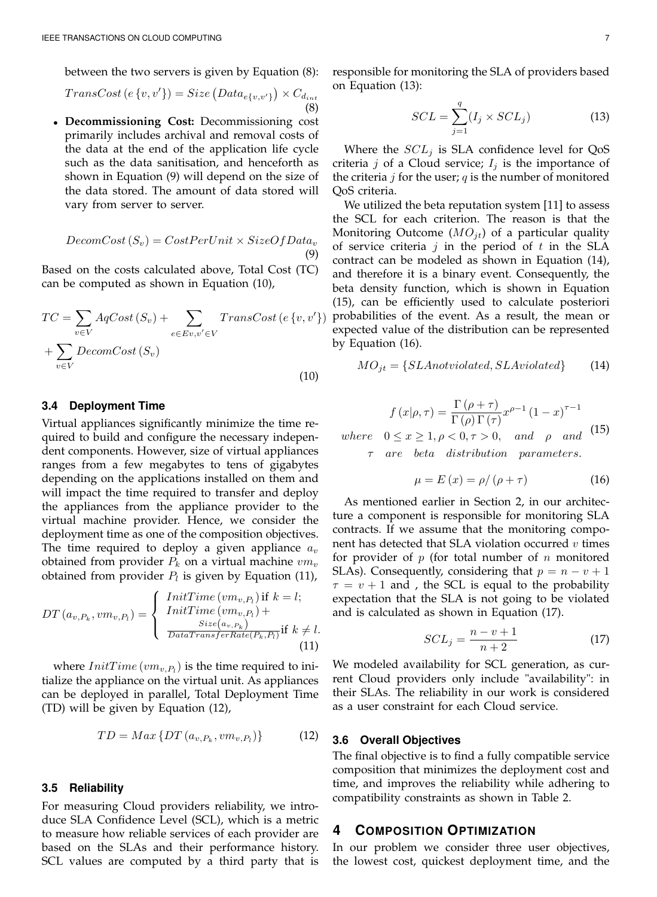between the two servers is given by Equation (8):

$$
TransCost\left(e\{v, v'\}\right) = Size\left(Data_{e\{v, v'\}}\right) \times C_{d_{int}}\tag{8}
$$

• **Decommissioning Cost:** Decommissioning cost primarily includes archival and removal costs of the data at the end of the application life cycle such as the data sanitisation, and henceforth as shown in Equation (9) will depend on the size of the data stored. The amount of data stored will vary from server to server.

$$
DecomCost(S_v) = CostPerUnit \times SizeOfData_v
$$
  
(9)

Based on the costs calculated above, Total Cost (TC) can be computed as shown in Equation (10),

$$
TC = \sum_{v \in V} AqCost(S_v) + \sum_{e \in Ev, v' \in V} TransCost(e \{v, v'\}) + \sum_{v \in V} DecomCost(S_v)
$$
\n(10)

## **3.4 Deployment Time**

Virtual appliances significantly minimize the time required to build and configure the necessary independent components. However, size of virtual appliances ranges from a few megabytes to tens of gigabytes depending on the applications installed on them and will impact the time required to transfer and deploy the appliances from the appliance provider to the virtual machine provider. Hence, we consider the deployment time as one of the composition objectives. The time required to deploy a given appliance  $a_v$ obtained from provider  $P_k$  on a virtual machine  $vm_v$ obtained from provider  $P_l$  is given by Equation (11),

$$
DT\left(a_{v,P_{k}},vm_{v,P_{l}}\right) = \begin{cases} \text{InitTime}\left(vm_{v,P_{l}}\right) \text{if } k=l; \\ \text{InitTime}\left(vm_{v,P_{l}}\right) + \\ \frac{\text{Size}\left(a_{v,P_{k}}\right)}{\text{DataTransferRate}\left(P_{k},P_{l}\right)} \text{if } k \neq l. \end{cases} \tag{11}
$$

where  $InitTime\left( \overline{v}m_{v,P_l}\right)$  is the time required to initialize the appliance on the virtual unit. As appliances can be deployed in parallel, Total Deployment Time (TD) will be given by Equation (12),

$$
TD = Max\{DT(a_{v,P_k},vm_{v,P_l})\}
$$
(12)

#### **3.5 Reliability**

For measuring Cloud providers reliability, we introduce SLA Confidence Level (SCL), which is a metric to measure how reliable services of each provider are based on the SLAs and their performance history. SCL values are computed by a third party that is

responsible for monitoring the SLA of providers based on Equation (13):

$$
SCL = \sum_{j=1}^{q} (I_j \times SCL_j)
$$
 (13)

Where the  $SCL<sub>j</sub>$  is SLA confidence level for QoS criteria j of a Cloud service;  $I_j$  is the importance of the criteria  $j$  for the user;  $q$  is the number of monitored QoS criteria.

}) probabilities of the event. As a result, the mean or We utilized the beta reputation system [11] to assess the SCL for each criterion. The reason is that the Monitoring Outcome  $(MO_{jt})$  of a particular quality of service criteria  $j$  in the period of  $t$  in the SLA contract can be modeled as shown in Equation (14), and therefore it is a binary event. Consequently, the beta density function, which is shown in Equation (15), can be efficiently used to calculate posteriori expected value of the distribution can be represented by Equation (16).

$$
MO_{jt} = \{SLAnother, SLAviolated\} \tag{14}
$$

$$
f(x|\rho,\tau) = \frac{\Gamma(\rho+\tau)}{\Gamma(\rho)\Gamma(\tau)} x^{\rho-1} (1-x)^{\tau-1}
$$

where  $0 \le x \ge 1, \rho < 0, \tau > 0,$  and  $\rho$  and  $(15)$ τ are beta distribution parameters.

$$
\mu = E(x) = \rho / (\rho + \tau) \tag{16}
$$

As mentioned earlier in Section 2, in our architecture a component is responsible for monitoring SLA contracts. If we assume that the monitoring component has detected that SLA violation occurred  $v$  times for provider of  $p$  (for total number of  $n$  monitored SLAs). Consequently, considering that  $p = n - v + 1$  $\tau = v + 1$  and, the SCL is equal to the probability expectation that the SLA is not going to be violated and is calculated as shown in Equation (17).

$$
SCL_j = \frac{n-v+1}{n+2} \tag{17}
$$

We modeled availability for SCL generation, as current Cloud providers only include "availability": in their SLAs. The reliability in our work is considered as a user constraint for each Cloud service.

#### **3.6 Overall Objectives**

The final objective is to find a fully compatible service composition that minimizes the deployment cost and time, and improves the reliability while adhering to compatibility constraints as shown in Table 2.

## **4 COMPOSITION OPTIMIZATION**

In our problem we consider three user objectives, the lowest cost, quickest deployment time, and the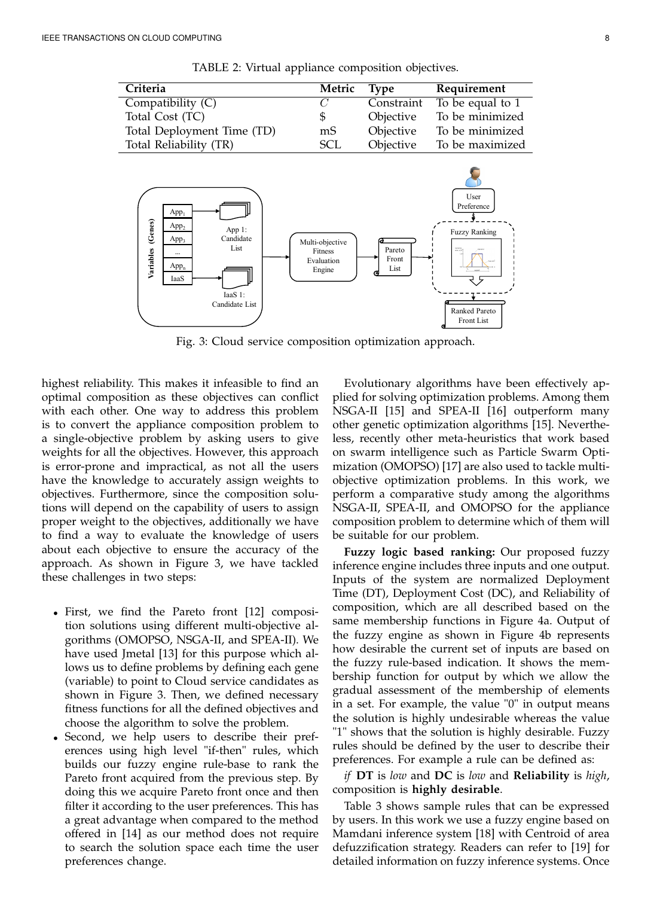

TABLE 2: Virtual appliance composition objectives.

Fig. 3: Cloud service composition optimization approach.

highest reliability. This makes it infeasible to find an optimal composition as these objectives can conflict with each other. One way to address this problem is to convert the appliance composition problem to a single-objective problem by asking users to give weights for all the objectives. However, this approach is error-prone and impractical, as not all the users have the knowledge to accurately assign weights to objectives. Furthermore, since the composition solutions will depend on the capability of users to assign proper weight to the objectives, additionally we have to find a way to evaluate the knowledge of users about each objective to ensure the accuracy of the approach. As shown in Figure 3, we have tackled these challenges in two steps:

- First, we find the Pareto front [12] composition solutions using different multi-objective algorithms (OMOPSO, NSGA-II, and SPEA-II). We have used Jmetal [13] for this purpose which allows us to define problems by defining each gene (variable) to point to Cloud service candidates as shown in Figure 3. Then, we defined necessary fitness functions for all the defined objectives and choose the algorithm to solve the problem.
- Second, we help users to describe their preferences using high level "if-then" rules, which builds our fuzzy engine rule-base to rank the Pareto front acquired from the previous step. By doing this we acquire Pareto front once and then filter it according to the user preferences. This has a great advantage when compared to the method offered in [14] as our method does not require to search the solution space each time the user preferences change.

Evolutionary algorithms have been effectively applied for solving optimization problems. Among them NSGA-II [15] and SPEA-II [16] outperform many other genetic optimization algorithms [15]. Nevertheless, recently other meta-heuristics that work based on swarm intelligence such as Particle Swarm Optimization (OMOPSO) [17] are also used to tackle multiobjective optimization problems. In this work, we perform a comparative study among the algorithms NSGA-II, SPEA-II, and OMOPSO for the appliance composition problem to determine which of them will be suitable for our problem.

**Fuzzy logic based ranking:** Our proposed fuzzy inference engine includes three inputs and one output. Inputs of the system are normalized Deployment Time (DT), Deployment Cost (DC), and Reliability of composition, which are all described based on the same membership functions in Figure 4a. Output of the fuzzy engine as shown in Figure 4b represents how desirable the current set of inputs are based on the fuzzy rule-based indication. It shows the membership function for output by which we allow the gradual assessment of the membership of elements in a set. For example, the value "0" in output means the solution is highly undesirable whereas the value "1" shows that the solution is highly desirable. Fuzzy rules should be defined by the user to describe their preferences. For example a rule can be defined as:

*if* **DT** is *low* and **DC** is *low* and **Reliability** is *high*, composition is **highly desirable**.

Table 3 shows sample rules that can be expressed by users. In this work we use a fuzzy engine based on Mamdani inference system [18] with Centroid of area defuzzification strategy. Readers can refer to [19] for detailed information on fuzzy inference systems. Once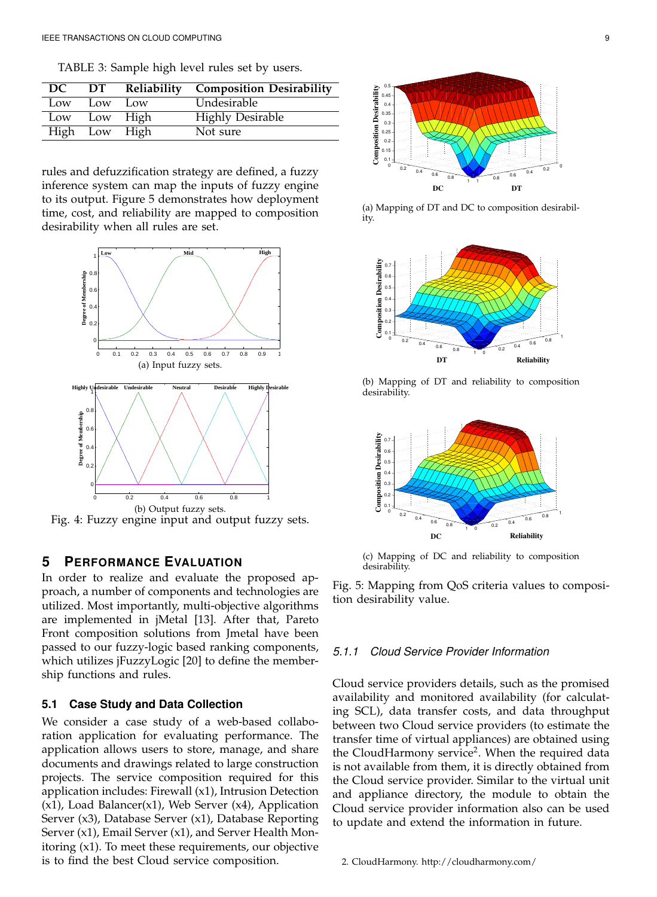| DC  | DT.           |                 | Reliability Composition Desirability |
|-----|---------------|-----------------|--------------------------------------|
| Low | Low           | $_{\text{Low}}$ | Undesirable                          |
| Low |               | Low High        | <b>Highly Desirable</b>              |
|     | High Low High |                 | Not sure                             |

rules and defuzzification strategy are defined, a fuzzy inference system can map the inputs of fuzzy engine to its output. Figure 5 demonstrates how deployment time, cost, and reliability are mapped to composition desirability when all rules are set.



Fig. 4: Fuzzy engine input and output fuzzy sets.

## **5 PERFORMANCE EVALUATION**

In order to realize and evaluate the proposed approach, a number of components and technologies are utilized. Most importantly, multi-objective algorithms are implemented in jMetal [13]. After that, Pareto Front composition solutions from Jmetal have been passed to our fuzzy-logic based ranking components, which utilizes jFuzzyLogic [20] to define the membership functions and rules.

#### **5.1 Case Study and Data Collection**

We consider a case study of a web-based collaboration application for evaluating performance. The application allows users to store, manage, and share documents and drawings related to large construction projects. The service composition required for this application includes: Firewall (x1), Intrusion Detection  $(x1)$ , Load Balancer $(x1)$ , Web Server  $(x4)$ , Application Server (x3), Database Server (x1), Database Reporting Server (x1), Email Server (x1), and Server Health Monitoring (x1). To meet these requirements, our objective is to find the best Cloud service composition.



(a) Mapping of DT and DC to composition desirability.



(b) Mapping of DT and reliability to composition desirability.



(c) Mapping of DC and reliability to composition desirability.

Fig. 5: Mapping from QoS criteria values to composition desirability value.

## *5.1.1 Cloud Service Provider Information*

Cloud service providers details, such as the promised availability and monitored availability (for calculating SCL), data transfer costs, and data throughput between two Cloud service providers (to estimate the transfer time of virtual appliances) are obtained using the CloudHarmony service<sup>2</sup>. When the required data is not available from them, it is directly obtained from the Cloud service provider. Similar to the virtual unit and appliance directory, the module to obtain the Cloud service provider information also can be used to update and extend the information in future.

<sup>2.</sup> CloudHarmony. http://cloudharmony.com/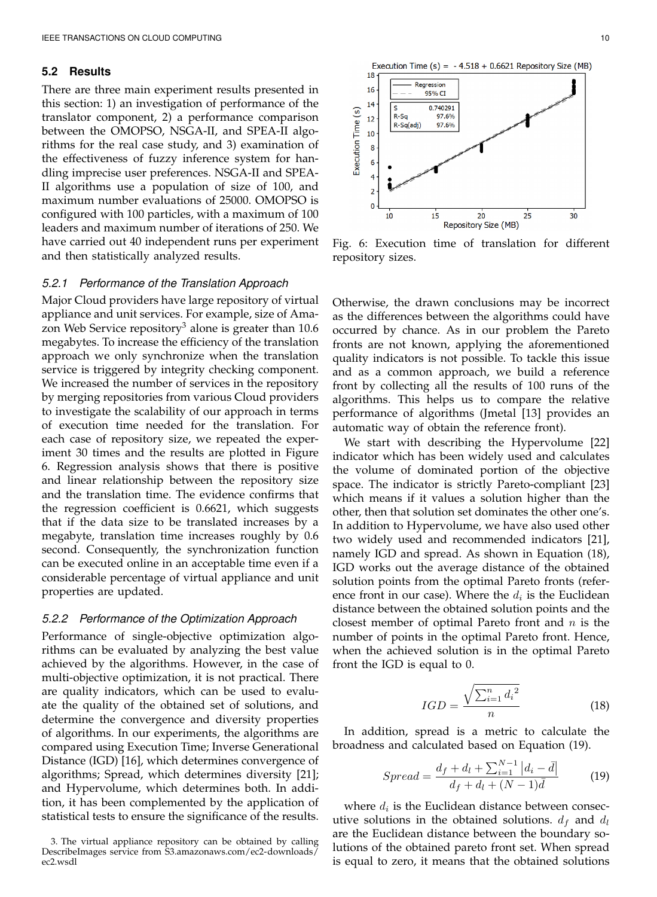### **5.2 Results**

There are three main experiment results presented in this section: 1) an investigation of performance of the translator component, 2) a performance comparison between the OMOPSO, NSGA-II, and SPEA-II algorithms for the real case study, and 3) examination of the effectiveness of fuzzy inference system for handling imprecise user preferences. NSGA-II and SPEA-II algorithms use a population of size of 100, and maximum number evaluations of 25000. OMOPSO is configured with 100 particles, with a maximum of 100 leaders and maximum number of iterations of 250. We have carried out 40 independent runs per experiment and then statistically analyzed results.

## *5.2.1 Performance of the Translation Approach*

Major Cloud providers have large repository of virtual appliance and unit services. For example, size of Amazon Web Service repository<sup>3</sup> alone is greater than  $10.6$ megabytes. To increase the efficiency of the translation approach we only synchronize when the translation service is triggered by integrity checking component. We increased the number of services in the repository by merging repositories from various Cloud providers to investigate the scalability of our approach in terms of execution time needed for the translation. For each case of repository size, we repeated the experiment 30 times and the results are plotted in Figure 6. Regression analysis shows that there is positive and linear relationship between the repository size and the translation time. The evidence confirms that the regression coefficient is 0.6621, which suggests that if the data size to be translated increases by a megabyte, translation time increases roughly by 0.6 second. Consequently, the synchronization function can be executed online in an acceptable time even if a considerable percentage of virtual appliance and unit properties are updated.

## *5.2.2 Performance of the Optimization Approach*

Performance of single-objective optimization algorithms can be evaluated by analyzing the best value achieved by the algorithms. However, in the case of multi-objective optimization, it is not practical. There are quality indicators, which can be used to evaluate the quality of the obtained set of solutions, and determine the convergence and diversity properties of algorithms. In our experiments, the algorithms are compared using Execution Time; Inverse Generational Distance (IGD) [16], which determines convergence of algorithms; Spread, which determines diversity [21]; and Hypervolume, which determines both. In addition, it has been complemented by the application of statistical tests to ensure the significance of the results.



Fig. 6: Execution time of translation for different repository sizes.

Otherwise, the drawn conclusions may be incorrect as the differences between the algorithms could have occurred by chance. As in our problem the Pareto fronts are not known, applying the aforementioned quality indicators is not possible. To tackle this issue and as a common approach, we build a reference front by collecting all the results of 100 runs of the algorithms. This helps us to compare the relative performance of algorithms (Jmetal [13] provides an automatic way of obtain the reference front).

We start with describing the Hypervolume [22] indicator which has been widely used and calculates the volume of dominated portion of the objective space. The indicator is strictly Pareto-compliant [23] which means if it values a solution higher than the other, then that solution set dominates the other one's. In addition to Hypervolume, we have also used other two widely used and recommended indicators [21], namely IGD and spread. As shown in Equation (18), IGD works out the average distance of the obtained solution points from the optimal Pareto fronts (reference front in our case). Where the  $d_i$  is the Euclidean distance between the obtained solution points and the closest member of optimal Pareto front and  $n$  is the number of points in the optimal Pareto front. Hence, when the achieved solution is in the optimal Pareto front the IGD is equal to 0.

$$
IGD = \frac{\sqrt{\sum_{i=1}^{n} d_i^2}}{n} \tag{18}
$$

In addition, spread is a metric to calculate the broadness and calculated based on Equation (19).

$$
Spread = \frac{d_f + d_l + \sum_{i=1}^{N-1} |d_i - \bar{d}|}{d_f + d_l + (N-1)\bar{d}} \tag{19}
$$

where  $d_i$  is the Euclidean distance between consecutive solutions in the obtained solutions.  $d_f$  and  $d_l$ are the Euclidean distance between the boundary solutions of the obtained pareto front set. When spread is equal to zero, it means that the obtained solutions

<sup>3.</sup> The virtual appliance repository can be obtained by calling DescribeImages service from S3.amazonaws.com/ec2-downloads/ ec2.wsdl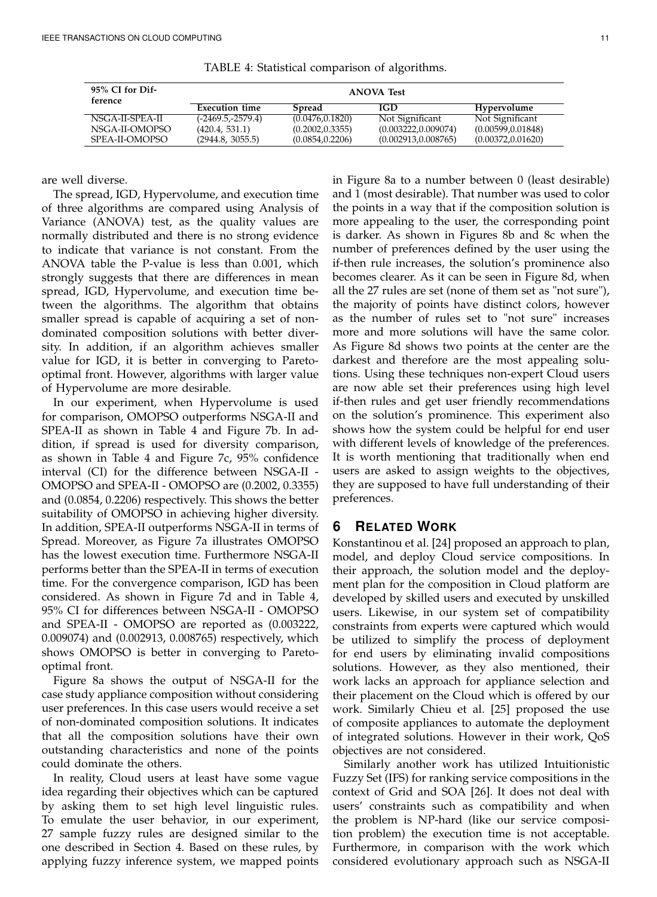| 95% CI for Dif-<br>ference | <b>ANOVA Test</b>     |                  |                      |                    |
|----------------------------|-----------------------|------------------|----------------------|--------------------|
|                            | <b>Execution time</b> | Spread           | IGD.                 | Hypervolume        |
| NSGA-II-SPEA-II            | (-2469.5.-2579.4)     | (0.0476, 0.1820) | Not Significant      | Not Significant    |
| NSGA-II-OMOPSO             | (420.4, 531.1)        | (0.2002, 0.3355) | (0.003222, 0.009074) | (0.00599, 0.01848) |
| SPEA-II-OMOPSO             | (2944.8, 3055.5)      | (0.0854, 0.2206) | (0.002913, 0.008765) | (0.00372, 0.01620) |

TABLE 4: Statistical comparison of algorithms.

are well diverse.

The spread, IGD, Hypervolume, and execution time of three algorithms are compared using Analysis of Variance (ANOVA) test, as the quality values are normally distributed and there is no strong evidence to indicate that variance is not constant. From the ANOVA table the P-value is less than 0.001, which strongly suggests that there are differences in mean spread, IGD, Hypervolume, and execution time between the algorithms. The algorithm that obtains smaller spread is capable of acquiring a set of nondominated composition solutions with better diversity. In addition, if an algorithm achieves smaller value for IGD, it is better in converging to Paretooptimal front. However, algorithms with larger value of Hypervolume are more desirable.

In our experiment, when Hypervolume is used for comparison, OMOPSO outperforms NSGA-II and SPEA-II as shown in Table 4 and Figure 7b. In addition, if spread is used for diversity comparison, as shown in Table 4 and Figure 7c, 95% confidence interval (CI) for the difference between NSGA-II - OMOPSO and SPEA-II - OMOPSO are (0.2002, 0.3355) and (0.0854, 0.2206) respectively. This shows the better suitability of OMOPSO in achieving higher diversity. In addition, SPEA-II outperforms NSGA-II in terms of Spread. Moreover, as Figure 7a illustrates OMOPSO has the lowest execution time. Furthermore NSGA-II performs better than the SPEA-II in terms of execution time. For the convergence comparison, IGD has been considered. As shown in Figure 7d and in Table 4, 95% CI for differences between NSGA-II - OMOPSO and SPEA-II - OMOPSO are reported as (0.003222, 0.009074) and (0.002913, 0.008765) respectively, which shows OMOPSO is better in converging to Paretooptimal front.

Figure 8a shows the output of NSGA-II for the case study appliance composition without considering user preferences. In this case users would receive a set of non-dominated composition solutions. It indicates that all the composition solutions have their own outstanding characteristics and none of the points could dominate the others.

In reality, Cloud users at least have some vague idea regarding their objectives which can be captured by asking them to set high level linguistic rules. To emulate the user behavior, in our experiment, 27 sample fuzzy rules are designed similar to the one described in Section 4. Based on these rules, by applying fuzzy inference system, we mapped points

in Figure 8a to a number between 0 (least desirable) and 1 (most desirable). That number was used to color the points in a way that if the composition solution is more appealing to the user, the corresponding point is darker. As shown in Figures 8b and 8c when the number of preferences defined by the user using the if-then rule increases, the solution's prominence also becomes clearer. As it can be seen in Figure 8d, when all the 27 rules are set (none of them set as "not sure"), the majority of points have distinct colors, however as the number of rules set to "not sure" increases more and more solutions will have the same color. As Figure 8d shows two points at the center are the darkest and therefore are the most appealing solutions. Using these techniques non-expert Cloud users are now able set their preferences using high level if-then rules and get user friendly recommendations on the solution's prominence. This experiment also shows how the system could be helpful for end user with different levels of knowledge of the preferences. It is worth mentioning that traditionally when end users are asked to assign weights to the objectives, they are supposed to have full understanding of their preferences.

## **6 RELATED WORK**

Konstantinou et al. [24] proposed an approach to plan, model, and deploy Cloud service compositions. In their approach, the solution model and the deployment plan for the composition in Cloud platform are developed by skilled users and executed by unskilled users. Likewise, in our system set of compatibility constraints from experts were captured which would be utilized to simplify the process of deployment for end users by eliminating invalid compositions solutions. However, as they also mentioned, their work lacks an approach for appliance selection and their placement on the Cloud which is offered by our work. Similarly Chieu et al. [25] proposed the use of composite appliances to automate the deployment of integrated solutions. However in their work, QoS objectives are not considered.

Similarly another work has utilized Intuitionistic Fuzzy Set (IFS) for ranking service compositions in the context of Grid and SOA [26]. It does not deal with users' constraints such as compatibility and when the problem is NP-hard (like our service composition problem) the execution time is not acceptable. Furthermore, in comparison with the work which considered evolutionary approach such as NSGA-II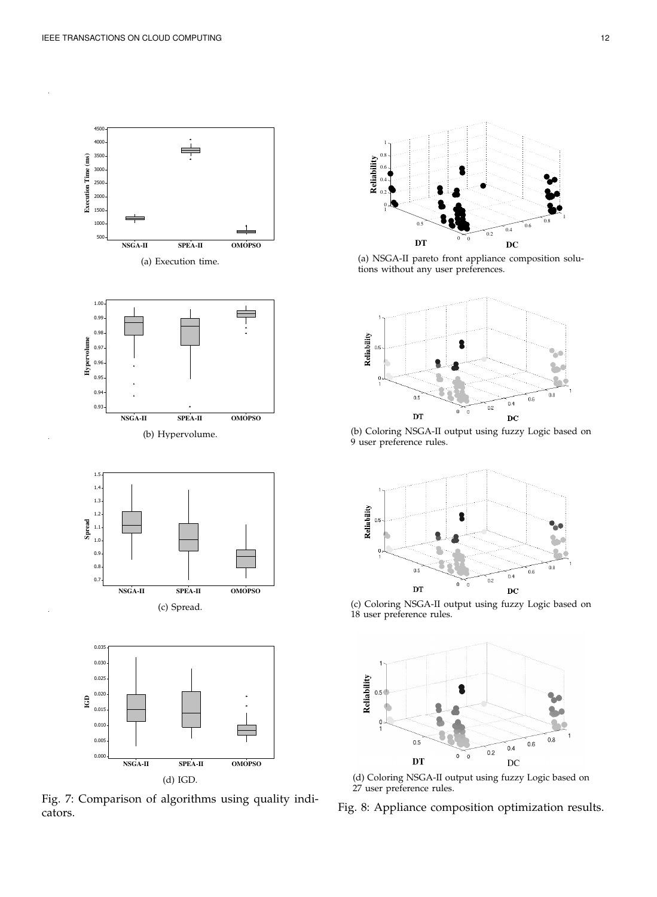

Fig. 7: Comparison of algorithms using quality indicators.



(a) NSGA-II pareto front appliance composition solutions without any user preferences.



(b) Coloring NSGA-II output using fuzzy Logic based on 9 user preference rules.



(c) Coloring NSGA-II output using fuzzy Logic based on 18 user preference rules.



(d) Coloring NSGA-II output using fuzzy Logic based on 27 user preference rules.

Fig. 8: Appliance composition optimization results.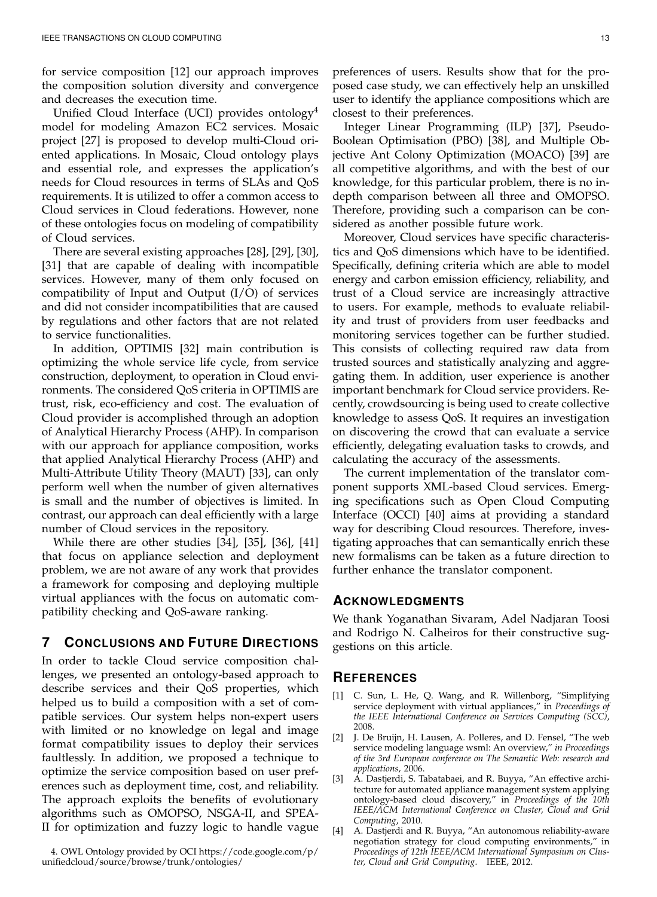for service composition [12] our approach improves the composition solution diversity and convergence and decreases the execution time.

Unified Cloud Interface (UCI) provides ontology<sup>4</sup> model for modeling Amazon EC2 services. Mosaic project [27] is proposed to develop multi-Cloud oriented applications. In Mosaic, Cloud ontology plays and essential role, and expresses the application's needs for Cloud resources in terms of SLAs and QoS requirements. It is utilized to offer a common access to Cloud services in Cloud federations. However, none of these ontologies focus on modeling of compatibility of Cloud services.

There are several existing approaches [28], [29], [30], [31] that are capable of dealing with incompatible services. However, many of them only focused on compatibility of Input and Output (I/O) of services and did not consider incompatibilities that are caused by regulations and other factors that are not related to service functionalities.

In addition, OPTIMIS [32] main contribution is optimizing the whole service life cycle, from service construction, deployment, to operation in Cloud environments. The considered QoS criteria in OPTIMIS are trust, risk, eco-efficiency and cost. The evaluation of Cloud provider is accomplished through an adoption of Analytical Hierarchy Process (AHP). In comparison with our approach for appliance composition, works that applied Analytical Hierarchy Process (AHP) and Multi-Attribute Utility Theory (MAUT) [33], can only perform well when the number of given alternatives is small and the number of objectives is limited. In contrast, our approach can deal efficiently with a large number of Cloud services in the repository.

While there are other studies [34], [35], [36], [41] that focus on appliance selection and deployment problem, we are not aware of any work that provides a framework for composing and deploying multiple virtual appliances with the focus on automatic compatibility checking and QoS-aware ranking.

# **7 CONCLUSIONS AND FUTURE DIRECTIONS**

In order to tackle Cloud service composition challenges, we presented an ontology-based approach to describe services and their QoS properties, which helped us to build a composition with a set of compatible services. Our system helps non-expert users with limited or no knowledge on legal and image format compatibility issues to deploy their services faultlessly. In addition, we proposed a technique to optimize the service composition based on user preferences such as deployment time, cost, and reliability. The approach exploits the benefits of evolutionary algorithms such as OMOPSO, NSGA-II, and SPEA-II for optimization and fuzzy logic to handle vague

4. OWL Ontology provided by OCI https://code.google.com/p/ unifiedcloud/source/browse/trunk/ontologies/

preferences of users. Results show that for the proposed case study, we can effectively help an unskilled user to identify the appliance compositions which are closest to their preferences.

Integer Linear Programming (ILP) [37], Pseudo-Boolean Optimisation (PBO) [38], and Multiple Objective Ant Colony Optimization (MOACO) [39] are all competitive algorithms, and with the best of our knowledge, for this particular problem, there is no indepth comparison between all three and OMOPSO. Therefore, providing such a comparison can be considered as another possible future work.

Moreover, Cloud services have specific characteristics and QoS dimensions which have to be identified. Specifically, defining criteria which are able to model energy and carbon emission efficiency, reliability, and trust of a Cloud service are increasingly attractive to users. For example, methods to evaluate reliability and trust of providers from user feedbacks and monitoring services together can be further studied. This consists of collecting required raw data from trusted sources and statistically analyzing and aggregating them. In addition, user experience is another important benchmark for Cloud service providers. Recently, crowdsourcing is being used to create collective knowledge to assess QoS. It requires an investigation on discovering the crowd that can evaluate a service efficiently, delegating evaluation tasks to crowds, and calculating the accuracy of the assessments.

The current implementation of the translator component supports XML-based Cloud services. Emerging specifications such as Open Cloud Computing Interface (OCCI) [40] aims at providing a standard way for describing Cloud resources. Therefore, investigating approaches that can semantically enrich these new formalisms can be taken as a future direction to further enhance the translator component.

## **ACKNOWLEDGMENTS**

We thank Yoganathan Sivaram, Adel Nadjaran Toosi and Rodrigo N. Calheiros for their constructive suggestions on this article.

## **REFERENCES**

- [1] C. Sun, L. He, Q. Wang, and R. Willenborg, "Simplifying service deployment with virtual appliances," in *Proceedings of the IEEE International Conference on Services Computing (SCC)*, 2008.
- [2] J. De Bruijn, H. Lausen, A. Polleres, and D. Fensel, "The web service modeling language wsml: An overview," *in Proceedings of the 3rd European conference on The Semantic Web: research and applications*, 2006.
- [3] A. Dastjerdi, S. Tabatabaei, and R. Buyya, "An effective architecture for automated appliance management system applying ontology-based cloud discovery," in *Proceedings of the 10th IEEE/ACM International Conference on Cluster, Cloud and Grid Computing*, 2010.
- [4] A. Dastjerdi and R. Buyya, "An autonomous reliability-aware negotiation strategy for cloud computing environments," in *Proceedings of 12th IEEE/ACM International Symposium on Cluster, Cloud and Grid Computing*. IEEE, 2012.